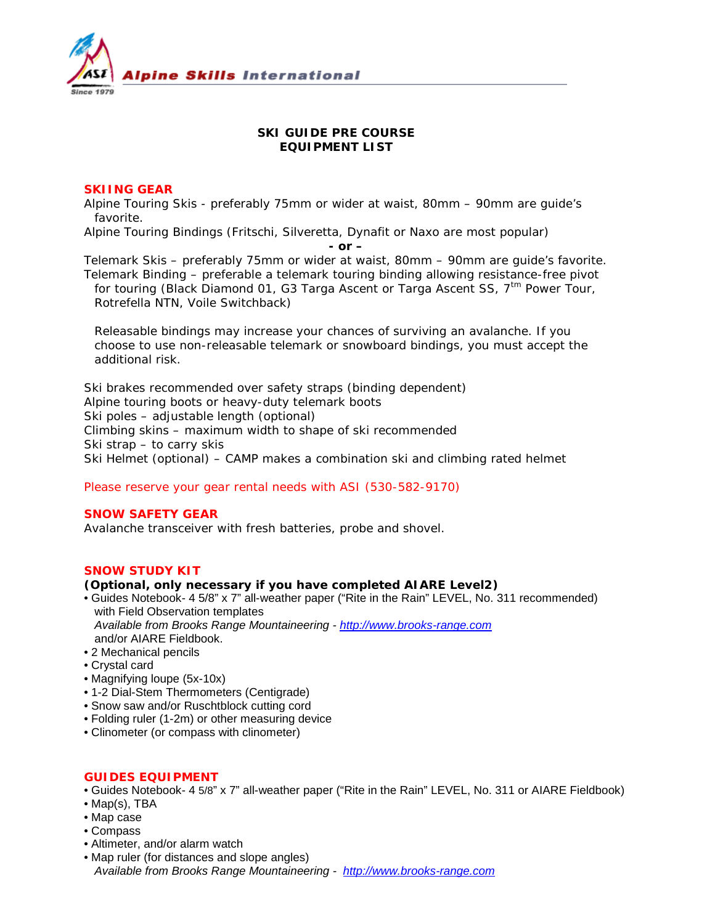

# **SKI GUIDE PRE COURSE EQUIPMENT LIST**

### **SKIING GEAR**

Alpine Touring Skis - preferably 75mm or wider at waist, 80mm – 90mm are guide's favorite.

Alpine Touring Bindings (Fritschi, Silveretta, Dynafit or Naxo are most popular)

*- or –*

Telemark Skis – preferably 75mm or wider at waist, 80mm – 90mm are guide's favorite. Telemark Binding – preferable a telemark touring binding allowing resistance-free pivot for touring (Black Diamond 01, G3 Targa Ascent or Targa Ascent SS, 7<sup>tm</sup> Power Tour, Rotrefella NTN, Voile Switchback)

*Releasable bindings may increase your chances of surviving an avalanche. If you choose to use non-releasable telemark or snowboard bindings, you must accept the additional risk.*

Ski brakes recommended over safety straps (binding dependent) Alpine touring boots or heavy-duty telemark boots Ski poles – adjustable length (optional) Climbing skins – maximum width to shape of ski recommended Ski strap – to carry skis Ski Helmet (optional) – CAMP makes a combination ski and climbing rated helmet

*Please reserve your gear rental needs with ASI (530-582-9170)*

# **SNOW SAFETY GEAR**

Avalanche transceiver with fresh batteries, probe and shovel.

# **SNOW STUDY KIT**

#### *(Optional, only necessary if you have completed AIARE Level2)*

- Guides Notebook- 4 5/8" x 7" all-weather paper ("Rite in the Rain" LEVEL, No. 311 recommended) with Field Observation templates *Available from Brooks Range Mountaineering - [http://www.brooks-range.com](http://www.brooks-range.com/)*
- and/or AIARE Fieldbook. • 2 Mechanical pencils
- Crystal card
- Magnifying loupe (5x-10x)
- 1-2 Dial-Stem Thermometers (Centigrade)
- Snow saw and/or Ruschtblock cutting cord
- Folding ruler (1-2m) or other measuring device
- Clinometer (or compass with clinometer)

# **GUIDES EQUIPMENT**

- Guides Notebook- 4 5/8" x 7" all-weather paper ("Rite in the Rain" LEVEL, No. 311 or AIARE Fieldbook)
- Map(s), TBA
- Map case
- Compass
- Altimeter, and/or alarm watch
- Map ruler (for distances and slope angles) *Available from Brooks Range Mountaineering - [http://www.brooks-range.com](http://www.brooks-range.com/)*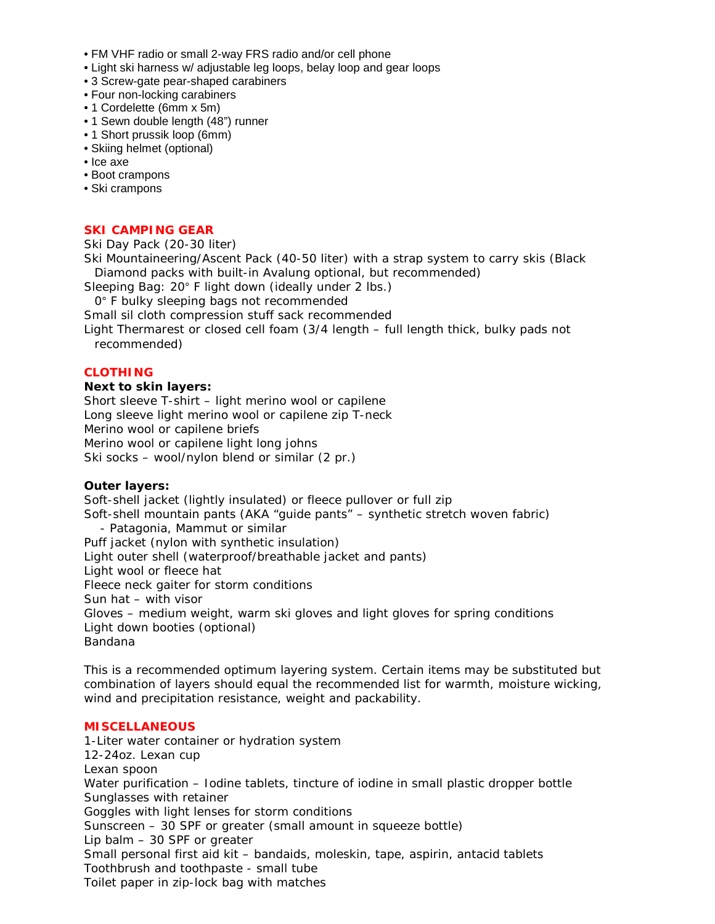- FM VHF radio or small 2-way FRS radio and/or cell phone
- Light ski harness w/ adjustable leg loops, belay loop and gear loops
- 3 Screw-gate pear-shaped carabiners
- Four non-locking carabiners
- 1 Cordelette (6mm x 5m)
- 1 Sewn double length (48") runner
- 1 Short prussik loop (6mm)
- Skiing helmet (optional)
- Ice axe
- Boot crampons
- Ski crampons

#### **SKI CAMPING GEAR**

Ski Day Pack (20-30 liter)

Ski Mountaineering/Ascent Pack (40-50 liter) with a strap system to carry skis (Black Diamond packs with built-in Avalung optional, but recommended)

Sleeping Bag: 20° F light down (ideally under 2 lbs.)

0° F bulky sleeping bags not recommended

Small sil cloth compression stuff sack recommended

Light Thermarest or closed cell foam (3/4 length – full length thick, bulky pads not recommended)

# **CLOTHING**

#### **Next to skin layers:**

Short sleeve T-shirt – light merino wool or capilene Long sleeve light merino wool or capilene zip T-neck Merino wool or capilene briefs Merino wool or capilene light long johns Ski socks – wool/nylon blend or similar (2 pr.)

#### **Outer layers:**

Soft-shell jacket (lightly insulated) or fleece pullover or full zip Soft-shell mountain pants (AKA "guide pants" – synthetic stretch woven fabric) - Patagonia, Mammut or similar Puff jacket (nylon with synthetic insulation) Light outer shell (waterproof/breathable jacket and pants) Light wool or fleece hat Fleece neck gaiter for storm conditions Sun hat – with visor Gloves – medium weight, warm ski gloves and light gloves for spring conditions Light down booties (optional) Bandana

*This is a recommended optimum layering system. Certain items may be substituted but combination of layers should equal the recommended list for warmth, moisture wicking, wind and precipitation resistance, weight and packability.*

#### **MISCELLANEOUS**

1-Liter water container or hydration system 12-24oz. Lexan cup Lexan spoon Water purification – Iodine tablets, tincture of iodine in small plastic dropper bottle Sunglasses with retainer Goggles with light lenses for storm conditions Sunscreen – 30 SPF or greater (small amount in squeeze bottle) Lip balm – 30 SPF or greater Small personal first aid kit – bandaids, moleskin, tape, aspirin, antacid tablets Toothbrush and toothpaste - small tube Toilet paper in zip-lock bag with matches